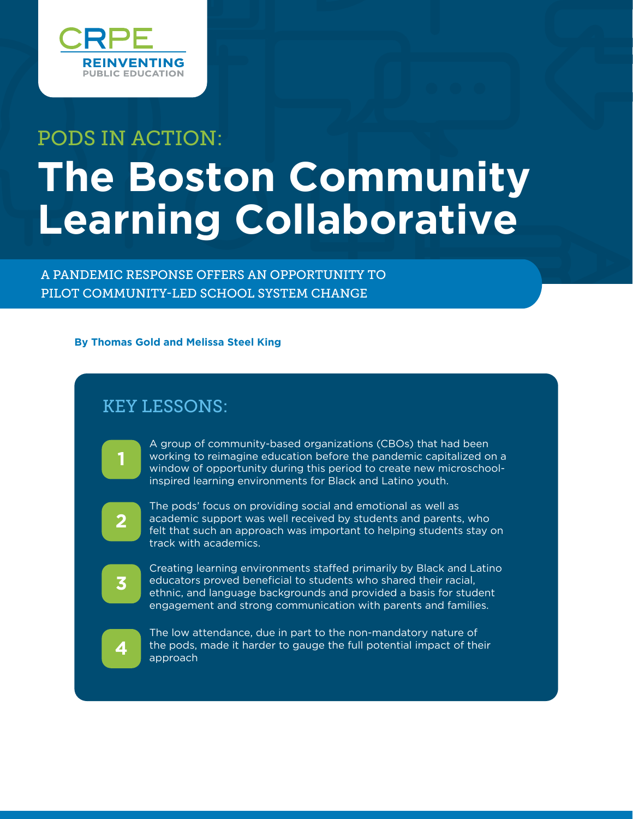

# PODS IN ACTION: **The Boston Community Learning Collaborative**

A PANDEMIC RESPONSE OFFERS AN OPPORTUNITY TO PILOT COMMUNITY-LED SCHOOL SYSTEM CHANGE

#### **By Thomas Gold and Melissa Steel King**

# KEY LESSONS:

- A group of community-based organizations (CBOs) that had been working to reimagine education before the pandemic capitalized on a window of opportunity during this period to create new microschoolinspired learning environments for Black and Latino youth.
- **2**

**1**

The pods' focus on providing social and emotional as well as academic support was well received by students and parents, who felt that such an approach was important to helping students stay on track with academics.

**3**

Creating learning environments staffed primarily by Black and Latino educators proved beneficial to students who shared their racial, ethnic, and language backgrounds and provided a basis for student engagement and strong communication with parents and families.

The low attendance, due in part to the non-mandatory nature of **4** the pods, made it harder to gauge the full potential impact of their approach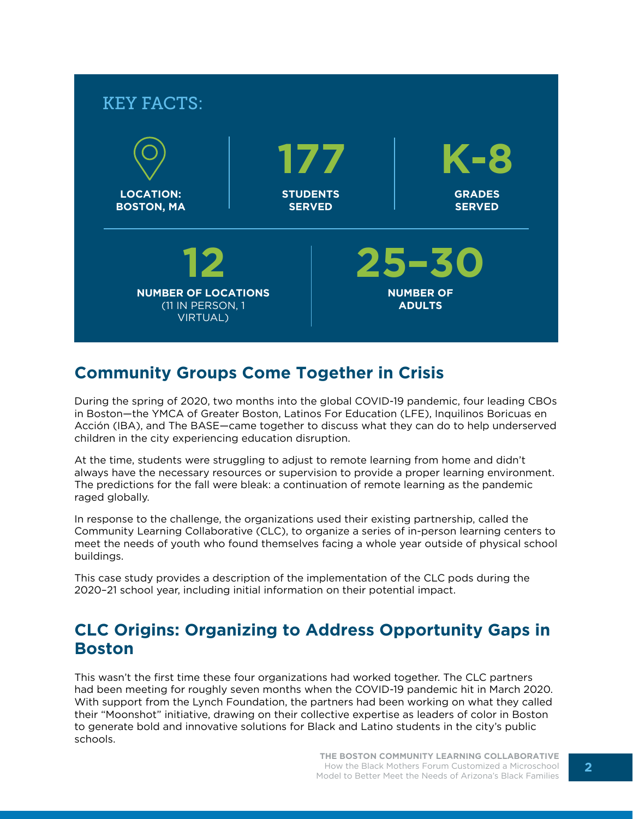

# **Community Groups Come Together in Crisis**

During the spring of 2020, two months into the global COVID-19 pandemic, four leading CBOs in Boston—the YMCA of Greater Boston, Latinos For Education (LFE), Inquilinos Boricuas en Acción (IBA), and The BASE—came together to discuss what they can do to help underserved children in the city experiencing education disruption.

At the time, students were struggling to adjust to remote learning from home and didn't always have the necessary resources or supervision to provide a proper learning environment. The predictions for the fall were bleak: a continuation of remote learning as the pandemic raged globally.

In response to the challenge, the organizations used their existing partnership, called the Community Learning Collaborative (CLC), to organize a series of in-person learning centers to meet the needs of youth who found themselves facing a whole year outside of physical school buildings.

This case study provides a description of the implementation of the CLC pods during the 2020–21 school year, including initial information on their potential impact.

## **CLC Origins: Organizing to Address Opportunity Gaps in Boston**

This wasn't the first time these four organizations had worked together. The CLC partners had been meeting for roughly seven months when the COVID-19 pandemic hit in March 2020. With support from the Lynch Foundation, the partners had been working on what they called their "Moonshot" initiative, drawing on their collective expertise as leaders of color in Boston to generate bold and innovative solutions for Black and Latino students in the city's public schools.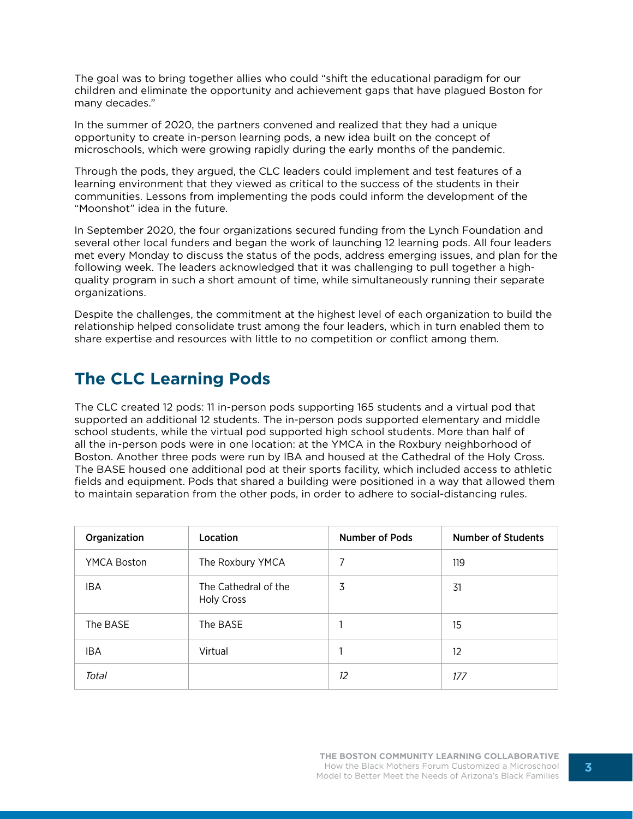The goal was to bring together allies who could "shift the educational paradigm for our children and eliminate the opportunity and achievement gaps that have plagued Boston for many decades."

In the summer of 2020, the partners convened and realized that they had a unique opportunity to create in-person learning pods, a new idea built on the concept of microschools, which were growing rapidly during the early months of the pandemic.

Through the pods, they argued, the CLC leaders could implement and test features of a learning environment that they viewed as critical to the success of the students in their communities. Lessons from implementing the pods could inform the development of the "Moonshot" idea in the future.

In September 2020, the four organizations secured funding from the Lynch Foundation and several other local funders and began the work of launching 12 learning pods. All four leaders met every Monday to discuss the status of the pods, address emerging issues, and plan for the following week. The leaders acknowledged that it was challenging to pull together a highquality program in such a short amount of time, while simultaneously running their separate organizations.

Despite the challenges, the commitment at the highest level of each organization to build the relationship helped consolidate trust among the four leaders, which in turn enabled them to share expertise and resources with little to no competition or conflict among them.

# **The CLC Learning Pods**

The CLC created 12 pods: 11 in-person pods supporting 165 students and a virtual pod that supported an additional 12 students. The in-person pods supported elementary and middle school students, while the virtual pod supported high school students. More than half of all the in-person pods were in one location: at the YMCA in the Roxbury neighborhood of Boston. Another three pods were run by IBA and housed at the Cathedral of the Holy Cross. The BASE housed one additional pod at their sports facility, which included access to athletic fields and equipment. Pods that shared a building were positioned in a way that allowed them to maintain separation from the other pods, in order to adhere to social-distancing rules.

| Organization       | Location                                  | <b>Number of Pods</b> | <b>Number of Students</b> |
|--------------------|-------------------------------------------|-----------------------|---------------------------|
| <b>YMCA Boston</b> | The Roxbury YMCA                          | 7                     | 119                       |
| <b>IBA</b>         | The Cathedral of the<br><b>Holy Cross</b> | 3                     | 31                        |
| The BASE           | The BASE                                  |                       | 15                        |
| <b>IBA</b>         | Virtual                                   |                       | 12                        |
| Total              |                                           | 12                    | 177                       |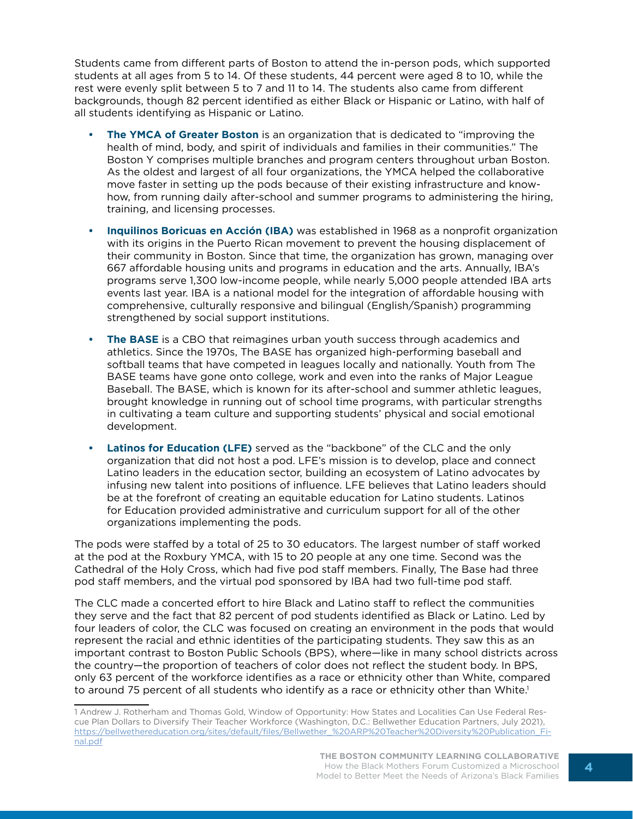Students came from different parts of Boston to attend the in-person pods, which supported students at all ages from 5 to 14. Of these students, 44 percent were aged 8 to 10, while the rest were evenly split between 5 to 7 and 11 to 14. The students also came from different backgrounds, though 82 percent identified as either Black or Hispanic or Latino, with half of all students identifying as Hispanic or Latino.

- **• The YMCA of Greater Boston** is an organization that is dedicated to "improving the health of mind, body, and spirit of individuals and families in their communities." The Boston Y comprises multiple branches and program centers throughout urban Boston. As the oldest and largest of all four organizations, the YMCA helped the collaborative move faster in setting up the pods because of their existing infrastructure and knowhow, from running daily after-school and summer programs to administering the hiring, training, and licensing processes.
- **• Inquilinos Boricuas en Acción (IBA)** was established in 1968 as a nonprofit organization with its origins in the Puerto Rican movement to prevent the housing displacement of their community in Boston. Since that time, the organization has grown, managing over 667 affordable housing units and programs in education and the arts. Annually, IBA's programs serve 1,300 low-income people, while nearly 5,000 people attended IBA arts events last year. IBA is a national model for the integration of affordable housing with comprehensive, culturally responsive and bilingual (English/Spanish) programming strengthened by social support institutions.
- **• The BASE** is a CBO that reimagines urban youth success through academics and athletics. Since the 1970s, The BASE has organized high-performing baseball and softball teams that have competed in leagues locally and nationally. Youth from The BASE teams have gone onto college, work and even into the ranks of Major League Baseball. The BASE, which is known for its after-school and summer athletic leagues, brought knowledge in running out of school time programs, with particular strengths in cultivating a team culture and supporting students' physical and social emotional development.
- **• Latinos for Education (LFE)** served as the "backbone" of the CLC and the only organization that did not host a pod. LFE's mission is to develop, place and connect Latino leaders in the education sector, building an ecosystem of Latino advocates by infusing new talent into positions of influence. LFE believes that Latino leaders should be at the forefront of creating an equitable education for Latino students. Latinos for Education provided administrative and curriculum support for all of the other organizations implementing the pods.

The pods were staffed by a total of 25 to 30 educators. The largest number of staff worked at the pod at the Roxbury YMCA, with 15 to 20 people at any one time. Second was the Cathedral of the Holy Cross, which had five pod staff members. Finally, The Base had three pod staff members, and the virtual pod sponsored by IBA had two full-time pod staff.

The CLC made a concerted effort to hire Black and Latino staff to reflect the communities they serve and the fact that 82 percent of pod students identified as Black or Latino. Led by four leaders of color, the CLC was focused on creating an environment in the pods that would represent the racial and ethnic identities of the participating students. They saw this as an important contrast to Boston Public Schools (BPS), where—like in many school districts across the country—the proportion of teachers of color does not reflect the student body. In BPS, only 63 percent of the workforce identifies as a race or ethnicity other than White, compared to around 75 percent of all students who identify as a race or ethnicity other than White.<sup>1</sup>

<sup>1</sup> Andrew J. Rotherham and Thomas Gold, Window of Opportunity: How States and Localities Can Use Federal Rescue Plan Dollars to Diversify Their Teacher Workforce (Washington, D.C.: Bellwether Education Partners, July 2021), [https://bellwethereducation.org/sites/default/files/Bellwether\\_%20ARP%20Teacher%20Diversity%20Publication\\_Fi](https://bellwethereducation.org/sites/default/files/Bellwether_%20ARP%20Teacher%20Diversity%20Publication_Final.pdf)[nal.pdf](https://bellwethereducation.org/sites/default/files/Bellwether_%20ARP%20Teacher%20Diversity%20Publication_Final.pdf)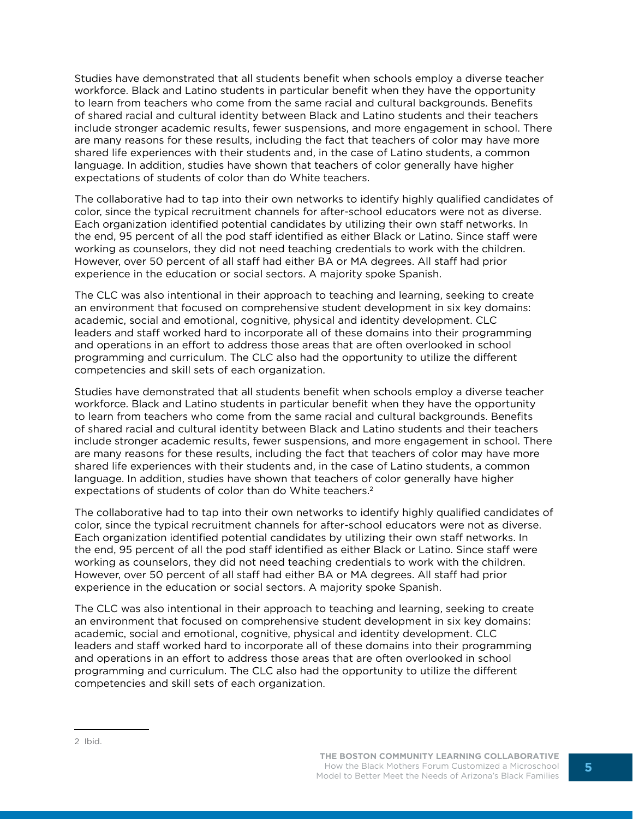Studies have demonstrated that all students benefit when schools employ a diverse teacher workforce. Black and Latino students in particular benefit when they have the opportunity to learn from teachers who come from the same racial and cultural backgrounds. Benefits of shared racial and cultural identity between Black and Latino students and their teachers include stronger academic results, fewer suspensions, and more engagement in school. There are many reasons for these results, including the fact that teachers of color may have more shared life experiences with their students and, in the case of Latino students, a common language. In addition, studies have shown that teachers of color generally have higher expectations of students of color than do White teachers.

The collaborative had to tap into their own networks to identify highly qualified candidates of color, since the typical recruitment channels for after-school educators were not as diverse. Each organization identified potential candidates by utilizing their own staff networks. In the end, 95 percent of all the pod staff identified as either Black or Latino. Since staff were working as counselors, they did not need teaching credentials to work with the children. However, over 50 percent of all staff had either BA or MA degrees. All staff had prior experience in the education or social sectors. A majority spoke Spanish.

The CLC was also intentional in their approach to teaching and learning, seeking to create an environment that focused on comprehensive student development in six key domains: academic, social and emotional, cognitive, physical and identity development. CLC leaders and staff worked hard to incorporate all of these domains into their programming and operations in an effort to address those areas that are often overlooked in school programming and curriculum. The CLC also had the opportunity to utilize the different competencies and skill sets of each organization.

Studies have demonstrated that all students benefit when schools employ a diverse teacher workforce. Black and Latino students in particular benefit when they have the opportunity to learn from teachers who come from the same racial and cultural backgrounds. Benefits of shared racial and cultural identity between Black and Latino students and their teachers include stronger academic results, fewer suspensions, and more engagement in school. There are many reasons for these results, including the fact that teachers of color may have more shared life experiences with their students and, in the case of Latino students, a common language. In addition, studies have shown that teachers of color generally have higher expectations of students of color than do White teachers.2

The collaborative had to tap into their own networks to identify highly qualified candidates of color, since the typical recruitment channels for after-school educators were not as diverse. Each organization identified potential candidates by utilizing their own staff networks. In the end, 95 percent of all the pod staff identified as either Black or Latino. Since staff were working as counselors, they did not need teaching credentials to work with the children. However, over 50 percent of all staff had either BA or MA degrees. All staff had prior experience in the education or social sectors. A majority spoke Spanish.

The CLC was also intentional in their approach to teaching and learning, seeking to create an environment that focused on comprehensive student development in six key domains: academic, social and emotional, cognitive, physical and identity development. CLC leaders and staff worked hard to incorporate all of these domains into their programming and operations in an effort to address those areas that are often overlooked in school programming and curriculum. The CLC also had the opportunity to utilize the different competencies and skill sets of each organization.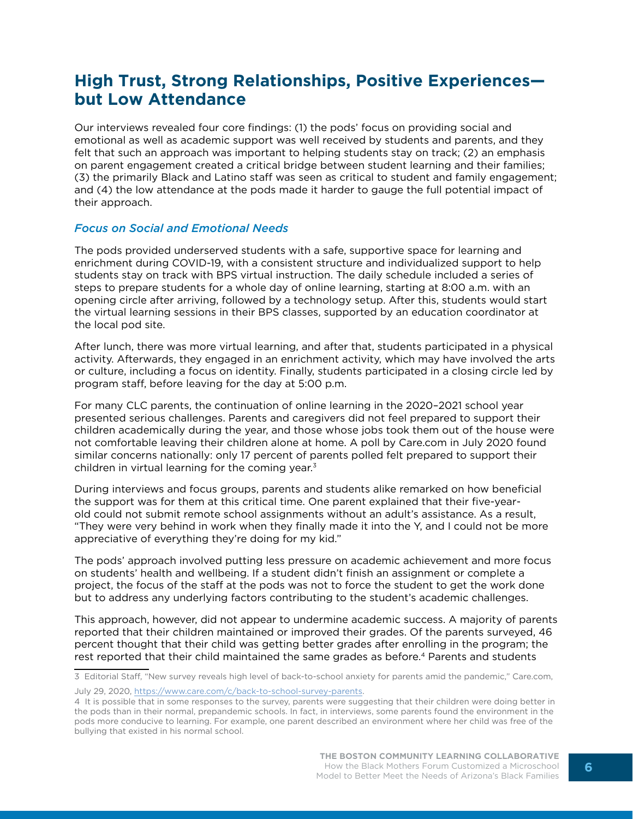## **High Trust, Strong Relationships, Positive Experiences but Low Attendance**

Our interviews revealed four core findings: (1) the pods' focus on providing social and emotional as well as academic support was well received by students and parents, and they felt that such an approach was important to helping students stay on track; (2) an emphasis on parent engagement created a critical bridge between student learning and their families; (3) the primarily Black and Latino staff was seen as critical to student and family engagement; and (4) the low attendance at the pods made it harder to gauge the full potential impact of their approach.

#### *Focus on Social and Emotional Needs*

The pods provided underserved students with a safe, supportive space for learning and enrichment during COVID-19, with a consistent structure and individualized support to help students stay on track with BPS virtual instruction. The daily schedule included a series of steps to prepare students for a whole day of online learning, starting at 8:00 a.m. with an opening circle after arriving, followed by a technology setup. After this, students would start the virtual learning sessions in their BPS classes, supported by an education coordinator at the local pod site.

After lunch, there was more virtual learning, and after that, students participated in a physical activity. Afterwards, they engaged in an enrichment activity, which may have involved the arts or culture, including a focus on identity. Finally, students participated in a closing circle led by program staff, before leaving for the day at 5:00 p.m.

For many CLC parents, the continuation of online learning in the 2020–2021 school year presented serious challenges. Parents and caregivers did not feel prepared to support their children academically during the year, and those whose jobs took them out of the house were not comfortable leaving their children alone at home. A poll by Care.com in July 2020 found similar concerns nationally: only 17 percent of parents polled felt prepared to support their children in virtual learning for the coming year.<sup>3</sup>

During interviews and focus groups, parents and students alike remarked on how beneficial the support was for them at this critical time. One parent explained that their five-yearold could not submit remote school assignments without an adult's assistance. As a result, "They were very behind in work when they finally made it into the Y, and I could not be more appreciative of everything they're doing for my kid."

The pods' approach involved putting less pressure on academic achievement and more focus on students' health and wellbeing. If a student didn't finish an assignment or complete a project, the focus of the staff at the pods was not to force the student to get the work done but to address any underlying factors contributing to the student's academic challenges.

This approach, however, did not appear to undermine academic success. A majority of parents reported that their children maintained or improved their grades. Of the parents surveyed, 46 percent thought that their child was getting better grades after enrolling in the program; the rest reported that their child maintained the same grades as before.<sup>4</sup> Parents and students

<sup>3</sup> Editorial Staff, "New survey reveals high level of back-to-school anxiety for parents amid the pandemic," Care.com, July 29, 2020, [https://www.care.com/c/back-to-school-survey-parents.](https://www.care.com/c/back-to-school-survey-parents)

<sup>4</sup> It is possible that in some responses to the survey, parents were suggesting that their children were doing better in the pods than in their normal, prepandemic schools. In fact, in interviews, some parents found the environment in the pods more conducive to learning. For example, one parent described an environment where her child was free of the bullying that existed in his normal school.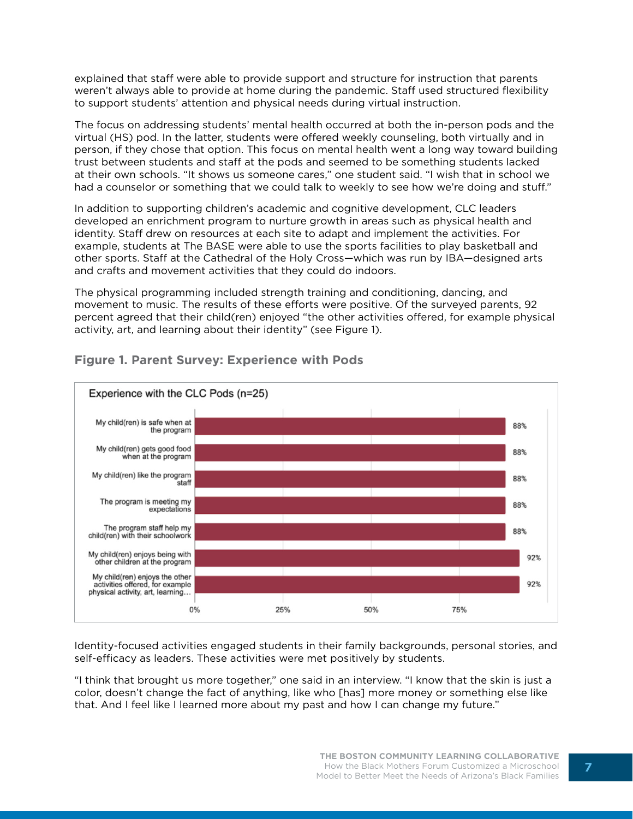explained that staff were able to provide support and structure for instruction that parents weren't always able to provide at home during the pandemic. Staff used structured flexibility to support students' attention and physical needs during virtual instruction.

The focus on addressing students' mental health occurred at both the in-person pods and the virtual (HS) pod. In the latter, students were offered weekly counseling, both virtually and in person, if they chose that option. This focus on mental health went a long way toward building trust between students and staff at the pods and seemed to be something students lacked at their own schools. "It shows us someone cares," one student said. "I wish that in school we had a counselor or something that we could talk to weekly to see how we're doing and stuff."

In addition to supporting children's academic and cognitive development, CLC leaders developed an enrichment program to nurture growth in areas such as physical health and identity. Staff drew on resources at each site to adapt and implement the activities. For example, students at The BASE were able to use the sports facilities to play basketball and other sports. Staff at the Cathedral of the Holy Cross—which was run by IBA—designed arts and crafts and movement activities that they could do indoors.

The physical programming included strength training and conditioning, dancing, and movement to music. The results of these efforts were positive. Of the surveyed parents, 92 percent agreed that their child(ren) enjoyed "the other activities offered, for example physical activity, art, and learning about their identity" (see Figure 1).



## **Figure 1. Parent Survey: Experience with Pods**

Identity-focused activities engaged students in their family backgrounds, personal stories, and self-efficacy as leaders. These activities were met positively by students.

"I think that brought us more together," one said in an interview. "I know that the skin is just a color, doesn't change the fact of anything, like who [has] more money or something else like that. And I feel like I learned more about my past and how I can change my future."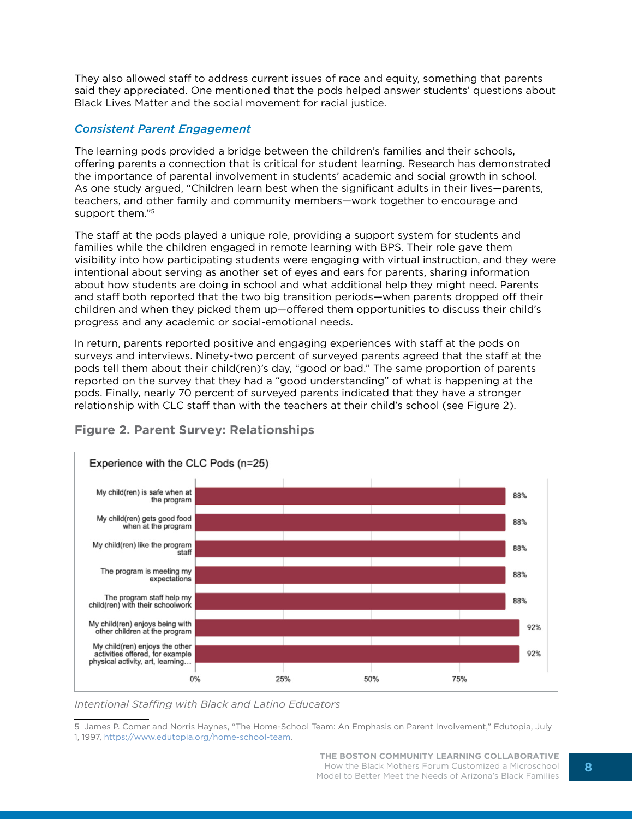They also allowed staff to address current issues of race and equity, something that parents said they appreciated. One mentioned that the pods helped answer students' questions about Black Lives Matter and the social movement for racial justice.

#### *Consistent Parent Engagement*

The learning pods provided a bridge between the children's families and their schools, offering parents a connection that is critical for student learning. Research has demonstrated the importance of parental involvement in students' academic and social growth in school. As one study argued, "Children learn best when the significant adults in their lives—parents, teachers, and other family and community members—work together to encourage and support them."5

The staff at the pods played a unique role, providing a support system for students and families while the children engaged in remote learning with BPS. Their role gave them visibility into how participating students were engaging with virtual instruction, and they were intentional about serving as another set of eyes and ears for parents, sharing information about how students are doing in school and what additional help they might need. Parents and staff both reported that the two big transition periods—when parents dropped off their children and when they picked them up—offered them opportunities to discuss their child's progress and any academic or social-emotional needs.

In return, parents reported positive and engaging experiences with staff at the pods on surveys and interviews. Ninety-two percent of surveyed parents agreed that the staff at the pods tell them about their child(ren)'s day, "good or bad." The same proportion of parents reported on the survey that they had a "good understanding" of what is happening at the pods. Finally, nearly 70 percent of surveyed parents indicated that they have a stronger relationship with CLC staff than with the teachers at their child's school (see Figure 2).



## **Figure 2. Parent Survey: Relationships**

*Intentional Staffing with Black and Latino Educators*

<sup>5</sup> James P. Comer and Norris Haynes, "The Home-School Team: An Emphasis on Parent Involvement," Edutopia, July 1, 1997, <https://www.edutopia.org/home-school-team>.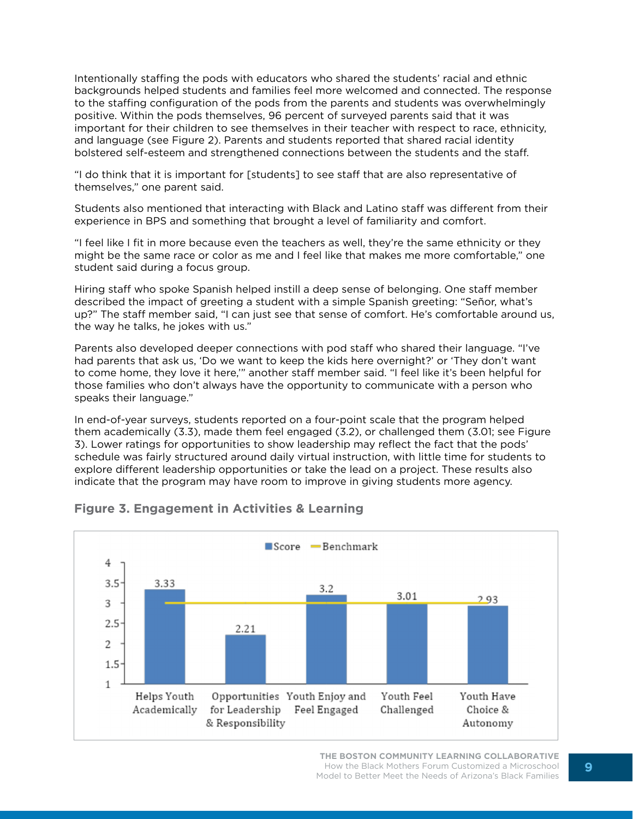Intentionally staffing the pods with educators who shared the students' racial and ethnic backgrounds helped students and families feel more welcomed and connected. The response to the staffing configuration of the pods from the parents and students was overwhelmingly positive. Within the pods themselves, 96 percent of surveyed parents said that it was important for their children to see themselves in their teacher with respect to race, ethnicity, and language (see Figure 2). Parents and students reported that shared racial identity bolstered self-esteem and strengthened connections between the students and the staff.

"I do think that it is important for [students] to see staff that are also representative of themselves," one parent said.

Students also mentioned that interacting with Black and Latino staff was different from their experience in BPS and something that brought a level of familiarity and comfort.

"I feel like I fit in more because even the teachers as well, they're the same ethnicity or they might be the same race or color as me and I feel like that makes me more comfortable," one student said during a focus group.

Hiring staff who spoke Spanish helped instill a deep sense of belonging. One staff member described the impact of greeting a student with a simple Spanish greeting: "Señor, what's up?" The staff member said, "I can just see that sense of comfort. He's comfortable around us, the way he talks, he jokes with us."

Parents also developed deeper connections with pod staff who shared their language. "I've had parents that ask us, 'Do we want to keep the kids here overnight?' or 'They don't want to come home, they love it here,'" another staff member said. "I feel like it's been helpful for those families who don't always have the opportunity to communicate with a person who speaks their language."

In end-of-year surveys, students reported on a four-point scale that the program helped them academically (3.3), made them feel engaged (3.2), or challenged them (3.01; see Figure 3). Lower ratings for opportunities to show leadership may reflect the fact that the pods' schedule was fairly structured around daily virtual instruction, with little time for students to explore different leadership opportunities or take the lead on a project. These results also indicate that the program may have room to improve in giving students more agency.



### **Figure 3. Engagement in Activities & Learning**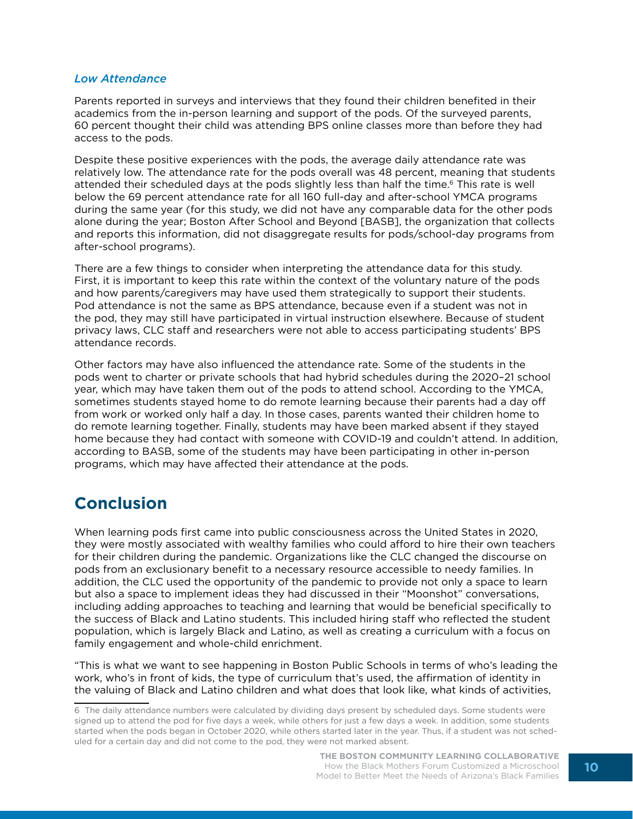#### *Low Attendance*

Parents reported in surveys and interviews that they found their children benefited in their academics from the in-person learning and support of the pods. Of the surveyed parents, 60 percent thought their child was attending BPS online classes more than before they had access to the pods.

Despite these positive experiences with the pods, the average daily attendance rate was relatively low. The attendance rate for the pods overall was 48 percent, meaning that students attended their scheduled days at the pods slightly less than half the time.6 This rate is well below the 69 percent attendance rate for all 160 full-day and after-school YMCA programs during the same year (for this study, we did not have any comparable data for the other pods alone during the year; Boston After School and Beyond [BASB], the organization that collects and reports this information, did not disaggregate results for pods/school-day programs from after-school programs).

There are a few things to consider when interpreting the attendance data for this study. First, it is important to keep this rate within the context of the voluntary nature of the pods and how parents/caregivers may have used them strategically to support their students. Pod attendance is not the same as BPS attendance, because even if a student was not in the pod, they may still have participated in virtual instruction elsewhere. Because of student privacy laws, CLC staff and researchers were not able to access participating students' BPS attendance records.

Other factors may have also influenced the attendance rate. Some of the students in the pods went to charter or private schools that had hybrid schedules during the 2020–21 school year, which may have taken them out of the pods to attend school. According to the YMCA, sometimes students stayed home to do remote learning because their parents had a day off from work or worked only half a day. In those cases, parents wanted their children home to do remote learning together. Finally, students may have been marked absent if they stayed home because they had contact with someone with COVID-19 and couldn't attend. In addition, according to BASB, some of the students may have been participating in other in-person programs, which may have affected their attendance at the pods.

## **Conclusion**

When learning pods first came into public consciousness across the United States in 2020, they were mostly associated with wealthy families who could afford to hire their own teachers for their children during the pandemic. Organizations like the CLC changed the discourse on pods from an exclusionary benefit to a necessary resource accessible to needy families. In addition, the CLC used the opportunity of the pandemic to provide not only a space to learn but also a space to implement ideas they had discussed in their "Moonshot" conversations, including adding approaches to teaching and learning that would be beneficial specifically to the success of Black and Latino students. This included hiring staff who reflected the student population, which is largely Black and Latino, as well as creating a curriculum with a focus on family engagement and whole-child enrichment.

"This is what we want to see happening in Boston Public Schools in terms of who's leading the work, who's in front of kids, the type of curriculum that's used, the affirmation of identity in the valuing of Black and Latino children and what does that look like, what kinds of activities,

<sup>6</sup> The daily attendance numbers were calculated by dividing days present by scheduled days. Some students were signed up to attend the pod for five days a week, while others for just a few days a week. In addition, some students started when the pods began in October 2020, while others started later in the year. Thus, if a student was not scheduled for a certain day and did not come to the pod, they were not marked absent.